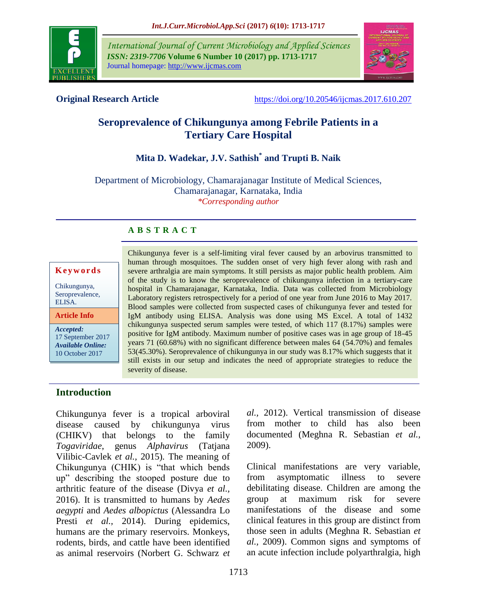

*International Journal of Current Microbiology and Applied Sciences ISSN: 2319-7706* **Volume 6 Number 10 (2017) pp. 1713-1717** Journal homepage: http://www.ijcmas.com



**Original Research Article** <https://doi.org/10.20546/ijcmas.2017.610.207>

# **Seroprevalence of Chikungunya among Febrile Patients in a Tertiary Care Hospital**

# **Mita D. Wadekar, J.V. Sathish\* and Trupti B. Naik**

Department of Microbiology, Chamarajanagar Institute of Medical Sciences, Chamarajanagar, Karnataka, India *\*Corresponding author*

### **A B S T R A C T**

# **K e y w o r d s**

Chikungunya, Seroprevalence, ELISA.

**Article Info**

*Accepted:*  17 September 2017 *Available Online:* 10 October 2017

Chikungunya fever is a self-limiting viral fever caused by an arbovirus transmitted to human through mosquitoes. The sudden onset of very high fever along with rash and severe arthralgia are main symptoms. It still persists as major public health problem. Aim of the study is to know the seroprevalence of chikungunya infection in a tertiary-care hospital in Chamarajanagar, Karnataka, India. Data was collected from Microbiology Laboratory registers retrospectively for a period of one year from June 2016 to May 2017. Blood samples were collected from suspected cases of chikungunya fever and tested for IgM antibody using ELISA. Analysis was done using MS Excel. A total of 1432 chikungunya suspected serum samples were tested, of which 117 (8.17%) samples were positive for IgM antibody. Maximum number of positive cases was in age group of 18-45 years 71 (60.68%) with no significant difference between males 64 (54.70%) and females 53(45.30%). Seroprevalence of chikungunya in our study was 8.17% which suggests that it still exists in our setup and indicates the need of appropriate strategies to reduce the severity of disease.

# **Introduction**

Chikungunya fever is a tropical arboviral disease caused by chikungunya virus (CHIKV) that belongs to the family *Togaviridae*, genus *Alphavirus* (Tatjana Vilibic-Cavlek *et al.,* 2015)*.* The meaning of Chikungunya (CHIK) is "that which bends up" describing the stooped posture due to arthritic feature of the disease (Divya *et al.,* 2016). It is transmitted to humans by *Aedes aegypti* and *Aedes albopictus* (Alessandra Lo Presti *et al.*, 2014). During epidemics, humans are the primary reservoirs. Monkeys, rodents, birds, and cattle have been identified as animal reservoirs (Norbert G. Schwarz *et* *al.,* 2012). Vertical transmission of disease from mother to child has also been documented (Meghna R. Sebastian *et al.,* 2009).

Clinical manifestations are very variable, from asymptomatic illness to severe debilitating disease. Children are among the group at maximum risk for severe manifestations of the disease and some clinical features in this group are distinct from those seen in adults (Meghna R. Sebastian *et al.,* 2009). Common signs and symptoms of an acute infection include polyarthralgia, high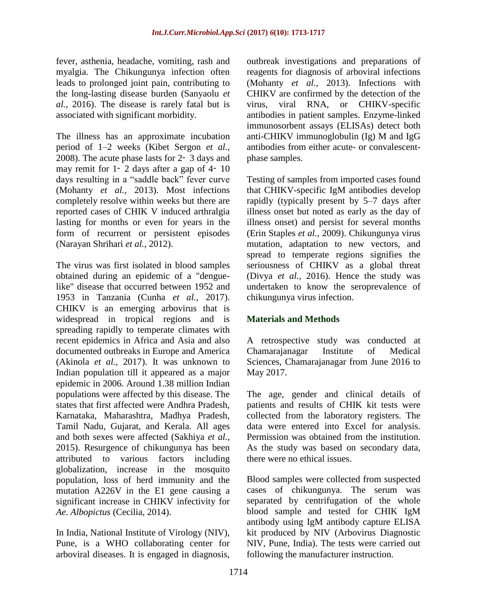fever, asthenia, headache, vomiting, rash and myalgia. The Chikungunya infection often leads to prolonged joint pain, contributing to the long-lasting disease burden (Sanyaolu *et al.,* 2016). The disease is rarely fatal but is associated with significant morbidity.

The illness has an approximate incubation period of 1–2 weeks (Kibet Sergon *et al.,* 2008). The acute phase lasts for 2‑ 3 days and may remit for  $1-\overline{2}$  days after a gap of  $4-\overline{10}$ days resulting in a "saddle back" fever curve (Mohanty *et al.,* 2013). Most infections completely resolve within weeks but there are reported cases of CHIK V induced arthralgia lasting for months or even for years in the form of recurrent or persistent episodes (Narayan Shrihari *et al.,* 2012).

The virus was first isolated in blood samples obtained during an epidemic of a "denguelike" disease that occurred between 1952 and 1953 in Tanzania (Cunha *et al.,* 2017). CHIKV is an emerging arbovirus that is widespread in tropical regions and is spreading rapidly to temperate climates with recent epidemics in Africa and Asia and also documented outbreaks in Europe and America (Akinola *et al.,* 2017). It was unknown to Indian population till it appeared as a major epidemic in 2006. Around 1.38 million Indian populations were affected by this disease. The states that first affected were Andhra Pradesh, Karnataka, Maharashtra, Madhya Pradesh, Tamil Nadu, Gujarat, and Kerala. All ages and both sexes were affected (Sakhiya *et al.,* 2015). Resurgence of chikungunya has been attributed to various factors including globalization, increase in the mosquito population, loss of herd immunity and the mutation A226V in the E1 gene causing a significant increase in CHIKV infectivity for *Ae. Albopictus* (Cecilia, 2014).

In India, National Institute of Virology (NIV), Pune, is a WHO collaborating center for arboviral diseases. It is engaged in diagnosis,

outbreak investigations and preparations of reagents for diagnosis of arboviral infections (Mohanty *et al.,* 2013). Infections with CHIKV are confirmed by the detection of the virus, viral RNA, or CHIKV-specific antibodies in patient samples. Enzyme-linked immunosorbent assays (ELISAs) detect both anti-CHIKV immunoglobulin (Ig) M and IgG antibodies from either acute- or convalescentphase samples.

Testing of samples from imported cases found that CHIKV-specific IgM antibodies develop rapidly (typically present by 5–7 days after illness onset but noted as early as the day of illness onset) and persist for several months (Erin Staples *et al.,* 2009). Chikungunya virus mutation, adaptation to new vectors, and spread to temperate regions signifies the seriousness of CHIKV as a global threat (Divya *et al.,* 2016). Hence the study was undertaken to know the seroprevalence of chikungunya virus infection.

# **Materials and Methods**

A retrospective study was conducted at Chamarajanagar Institute of Medical Sciences, Chamarajanagar from June 2016 to May 2017.

The age, gender and clinical details of patients and results of CHIK kit tests were collected from the laboratory registers. The data were entered into Excel for analysis. Permission was obtained from the institution. As the study was based on secondary data, there were no ethical issues.

Blood samples were collected from suspected cases of chikungunya. The serum was separated by centrifugation of the whole blood sample and tested for CHIK IgM antibody using IgM antibody capture ELISA kit produced by NIV (Arbovirus Diagnostic NIV, Pune, India). The tests were carried out following the manufacturer instruction.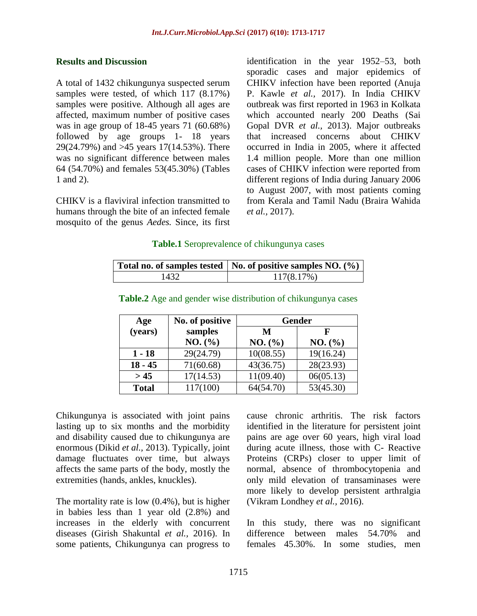#### **Results and Discussion**

A total of 1432 chikungunya suspected serum samples were tested, of which 117 (8.17%) samples were positive. Although all ages are affected, maximum number of positive cases was in age group of 18-45 years 71 (60.68%) followed by age groups 1- 18 years 29(24.79%) and >45 years 17(14.53%). There was no significant difference between males 64 (54.70%) and females 53(45.30%) (Tables 1 and 2).

CHIKV is a flaviviral infection transmitted to humans through the bite of an infected female mosquito of the genus *Aedes.* Since, its first identification in the year 1952–53, both sporadic cases and major epidemics of CHIKV infection have been reported (Anuja P. Kawle *et al.,* 2017). In India CHIKV outbreak was first reported in 1963 in Kolkata which accounted nearly 200 Deaths (Sai Gopal DVR *et al.,* 2013). Major outbreaks that increased concerns about CHIKV occurred in India in 2005, where it affected 1.4 million people. More than one million cases of CHIKV infection were reported from different regions of India during January 2006 to August 2007, with most patients coming from Kerala and Tamil Nadu (Braira Wahida *et al.,* 2017).

#### **Table.1** Seroprevalence of chikungunya cases

|      | Total no. of samples tested   No. of positive samples NO. $(\%)$ |  |
|------|------------------------------------------------------------------|--|
| 1432 | 117(8.17%)                                                       |  |

| Age          | No. of positive | <b>Gender</b> |           |
|--------------|-----------------|---------------|-----------|
| (years)      | samples         | M             | F         |
|              | NO. (%)         | NO. (%)       | NO. (%)   |
| $1 - 18$     | 29(24.79)       | 10(08.55)     | 19(16.24) |
| $18 - 45$    | 71(60.68)       | 43(36.75)     | 28(23.93) |
| > 45         | 17(14.53)       | 11(09.40)     | 06(05.13) |
| <b>Total</b> | 117(100)        | 64(54.70)     | 53(45.30) |

**Table.2** Age and gender wise distribution of chikungunya cases

Chikungunya is associated with joint pains lasting up to six months and the morbidity and disability caused due to chikungunya are enormous (Dikid *et al.,* 2013). Typically, joint damage fluctuates over time, but always affects the same parts of the body, mostly the extremities (hands, ankles, knuckles).

The mortality rate is low (0.4%), but is higher in babies less than 1 year old (2.8%) and increases in the elderly with concurrent diseases (Girish Shakuntal *et al.,* 2016). In some patients, Chikungunya can progress to cause chronic arthritis. The risk factors identified in the literature for persistent joint pains are age over 60 years, high viral load during acute illness, those with C- Reactive Proteins (CRPs) closer to upper limit of normal, absence of thrombocytopenia and only mild elevation of transaminases were more likely to develop persistent arthralgia (Vikram Londhey *et al.,* 2016).

In this study, there was no significant difference between males 54.70% and females 45.30%. In some studies, men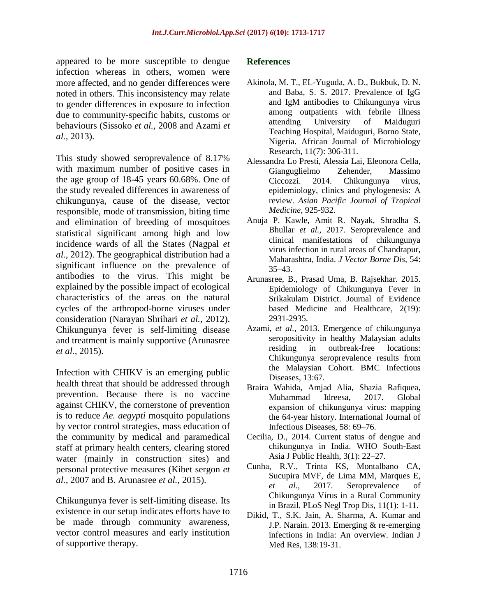appeared to be more susceptible to dengue infection whereas in others, women were more affected, and no gender differences were noted in others. This inconsistency may relate to gender differences in exposure to infection due to community-specific habits, customs or behaviours (Sissoko *et al.,* 2008 and Azami *et al.,* 2013).

This study showed seroprevalence of 8.17% with maximum number of positive cases in the age group of 18-45 years 60.68%. One of the study revealed differences in awareness of chikungunya, cause of the disease, vector responsible, mode of transmission, biting time and elimination of breeding of mosquitoes statistical significant among high and low incidence wards of all the States (Nagpal *et al.,* 2012). The geographical distribution had a significant influence on the prevalence of antibodies to the virus. This might be explained by the possible impact of ecological characteristics of the areas on the natural cycles of the arthropod-borne viruses under consideration (Narayan Shrihari *et al.,* 2012). Chikungunya fever is self-limiting disease and treatment is mainly supportive (Arunasree *et al.,* 2015).

Infection with CHIKV is an emerging public health threat that should be addressed through prevention. Because there is no vaccine against CHIKV, the cornerstone of prevention is to reduce *Ae. aegypti* mosquito populations by vector control strategies, mass education of the community by medical and paramedical staff at primary health centers, clearing stored water (mainly in construction sites) and personal protective measures (Kibet sergon *et al.,* 2007 and B. Arunasree *et al.,* 2015).

Chikungunya fever is self-limiting disease. Its existence in our setup indicates efforts have to be made through community awareness, vector control measures and early institution of supportive therapy.

#### **References**

- Akinola, M. T., EL-Yuguda, A. D., Bukbuk, D. N. and Baba, S. S. 2017. Prevalence of IgG and IgM antibodies to Chikungunya virus among outpatients with febrile illness attending University of Maiduguri Teaching Hospital, Maiduguri, Borno State, Nigeria. African Journal of Microbiology Research, 11(7): 306-311.
- Alessandra Lo Presti, Alessia Lai, Eleonora Cella, Gianguglielmo Zehender, Massimo Ciccozzi. 2014. Chikungunya virus, epidemiology, clinics and phylogenesis: A review. *Asian Pacific Journal of Tropical Medicine*, 925-932.
- Anuja P. Kawle, Amit R. Nayak, Shradha S. Bhullar *et al.,* 2017. Seroprevalence and clinical manifestations of chikungunya virus infection in rural areas of Chandrapur, Maharashtra, India. *J Vector Borne Dis,* 54: 35–43.
- Arunasree, B., Prasad Uma, B. Rajsekhar. 2015. Epidemiology of Chikungunya Fever in Srikakulam District. Journal of Evidence based Medicine and Healthcare, 2(19): 2931-2935.
- Azami, *et al.,* 2013. Emergence of chikungunya seropositivity in healthy Malaysian adults residing in outbreak-free locations: Chikungunya seroprevalence results from the Malaysian Cohort. BMC Infectious Diseases, 13:67.
- Braira Wahida, Amjad Alia, Shazia Rafiquea, Muhammad Idreesa, 2017. Global expansion of chikungunya virus: mapping the 64-year history. International Journal of Infectious Diseases, 58: 69–76.
- Cecilia, D., 2014. Current status of dengue and chikungunya in India. WHO South-East Asia J Public Health, 3(1): 22–27.
- Cunha, R.V., Trinta KS, Montalbano CA, Sucupira MVF, de Lima MM, Marques E, *et al.,* 2017. Seroprevalence of Chikungunya Virus in a Rural Community in Brazil. PLoS Negl Trop Dis, 11(1): 1-11.
- Dikid, T., S.K. Jain, A. Sharma, A. Kumar and J.P. Narain. 2013. Emerging & re-emerging infections in India: An overview. Indian J Med Res, 138:19-31.